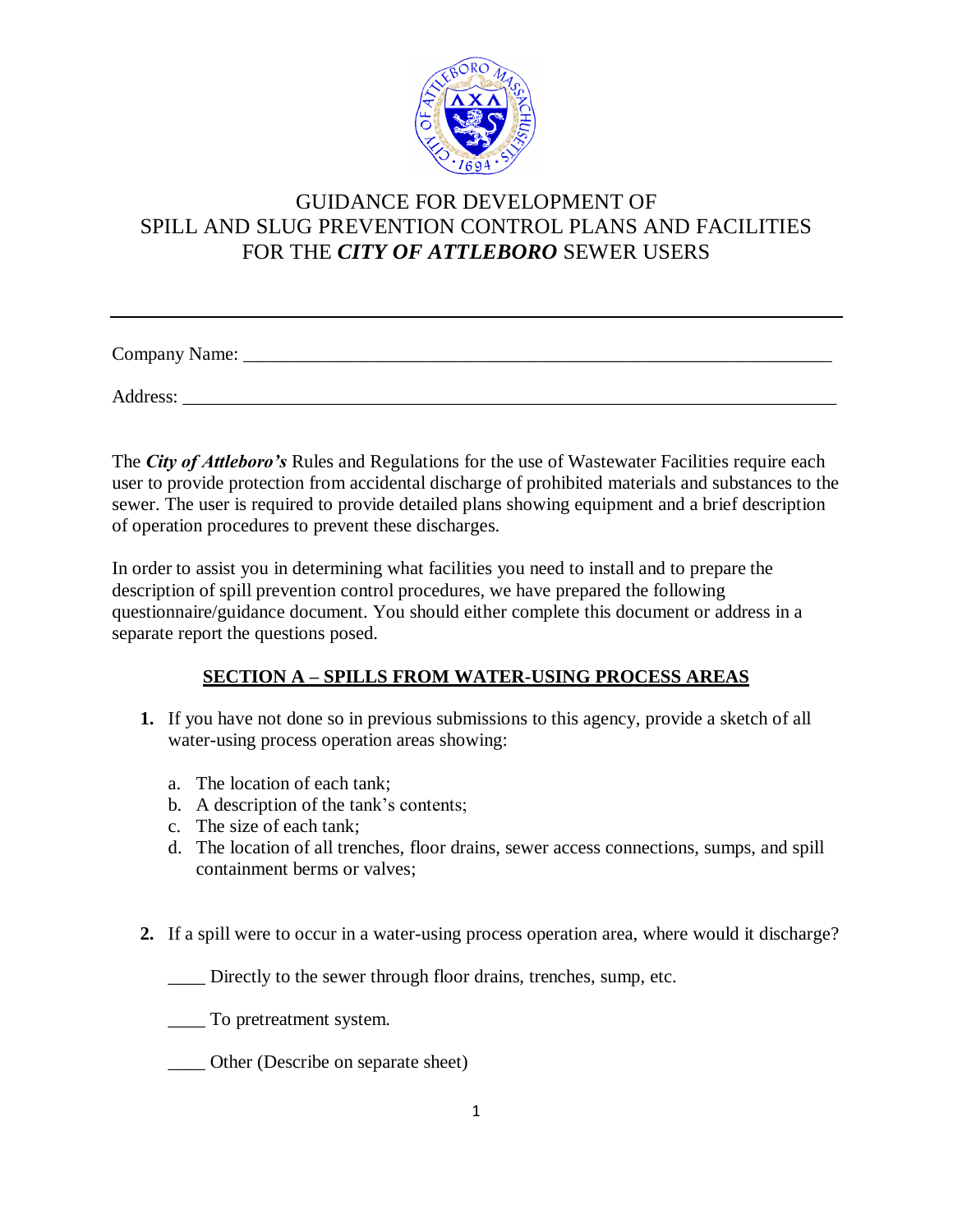

Company Name: \_\_\_\_\_\_\_\_\_\_\_\_\_\_\_\_\_\_\_\_\_\_\_\_\_\_\_\_\_\_\_\_\_\_\_\_\_\_\_\_\_\_\_\_\_\_\_\_\_\_\_\_\_\_\_\_\_\_\_\_\_\_\_

Address:

The *City of Attleboro's* Rules and Regulations for the use of Wastewater Facilities require each user to provide protection from accidental discharge of prohibited materials and substances to the sewer. The user is required to provide detailed plans showing equipment and a brief description of operation procedures to prevent these discharges.

In order to assist you in determining what facilities you need to install and to prepare the description of spill prevention control procedures, we have prepared the following questionnaire/guidance document. You should either complete this document or address in a separate report the questions posed.

#### **SECTION A – SPILLS FROM WATER-USING PROCESS AREAS**

- **1.** If you have not done so in previous submissions to this agency, provide a sketch of all water-using process operation areas showing:
	- a. The location of each tank;
	- b. A description of the tank's contents;
	- c. The size of each tank;
	- d. The location of all trenches, floor drains, sewer access connections, sumps, and spill containment berms or valves;
- **2.** If a spill were to occur in a water-using process operation area, where would it discharge?

Directly to the sewer through floor drains, trenches, sump, etc.

\_\_\_\_ To pretreatment system.

\_\_\_\_ Other (Describe on separate sheet)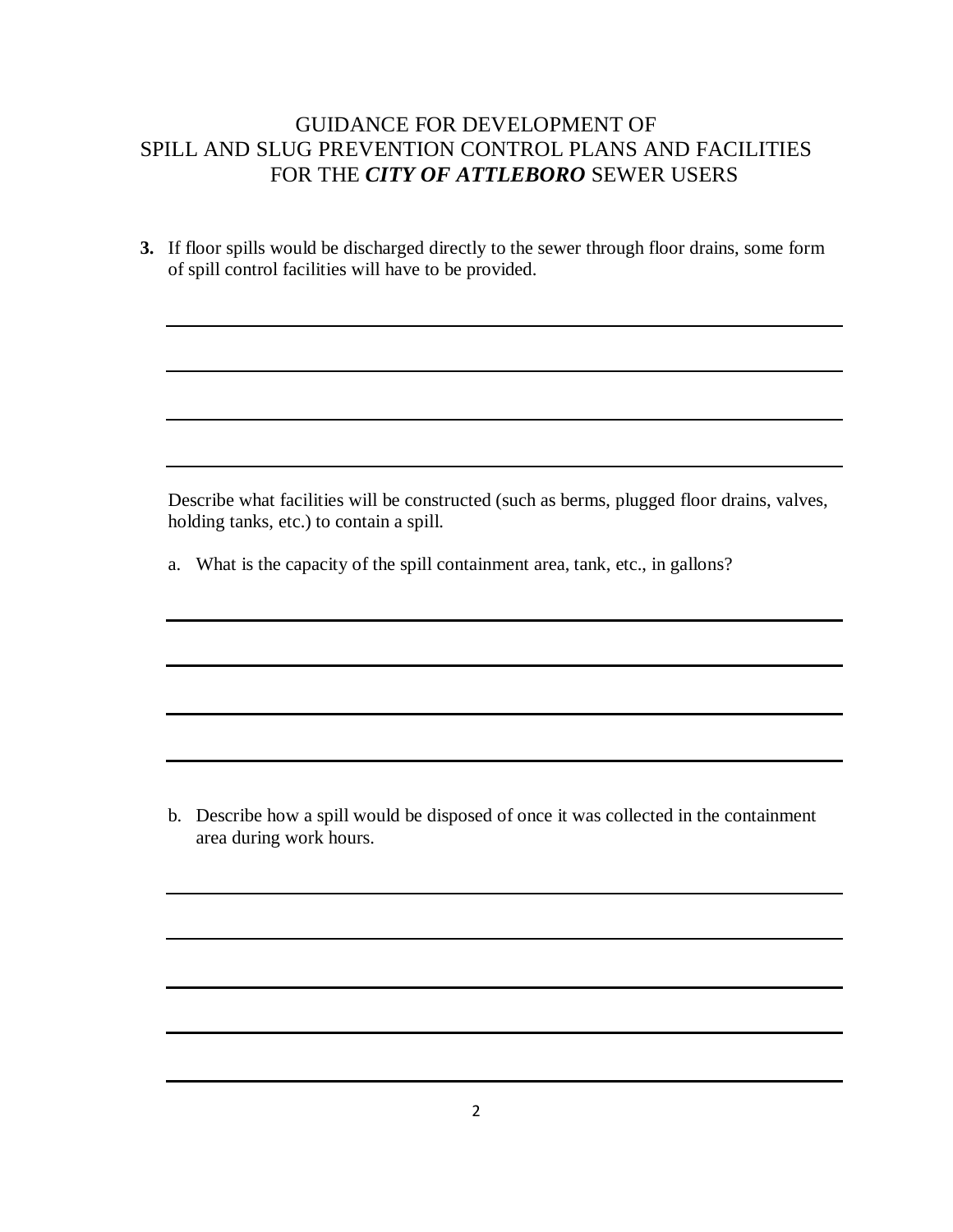**3.** If floor spills would be discharged directly to the sewer through floor drains, some form of spill control facilities will have to be provided.

Describe what facilities will be constructed (such as berms, plugged floor drains, valves, holding tanks, etc.) to contain a spill.

a. What is the capacity of the spill containment area, tank, etc., in gallons?

b. Describe how a spill would be disposed of once it was collected in the containment area during work hours.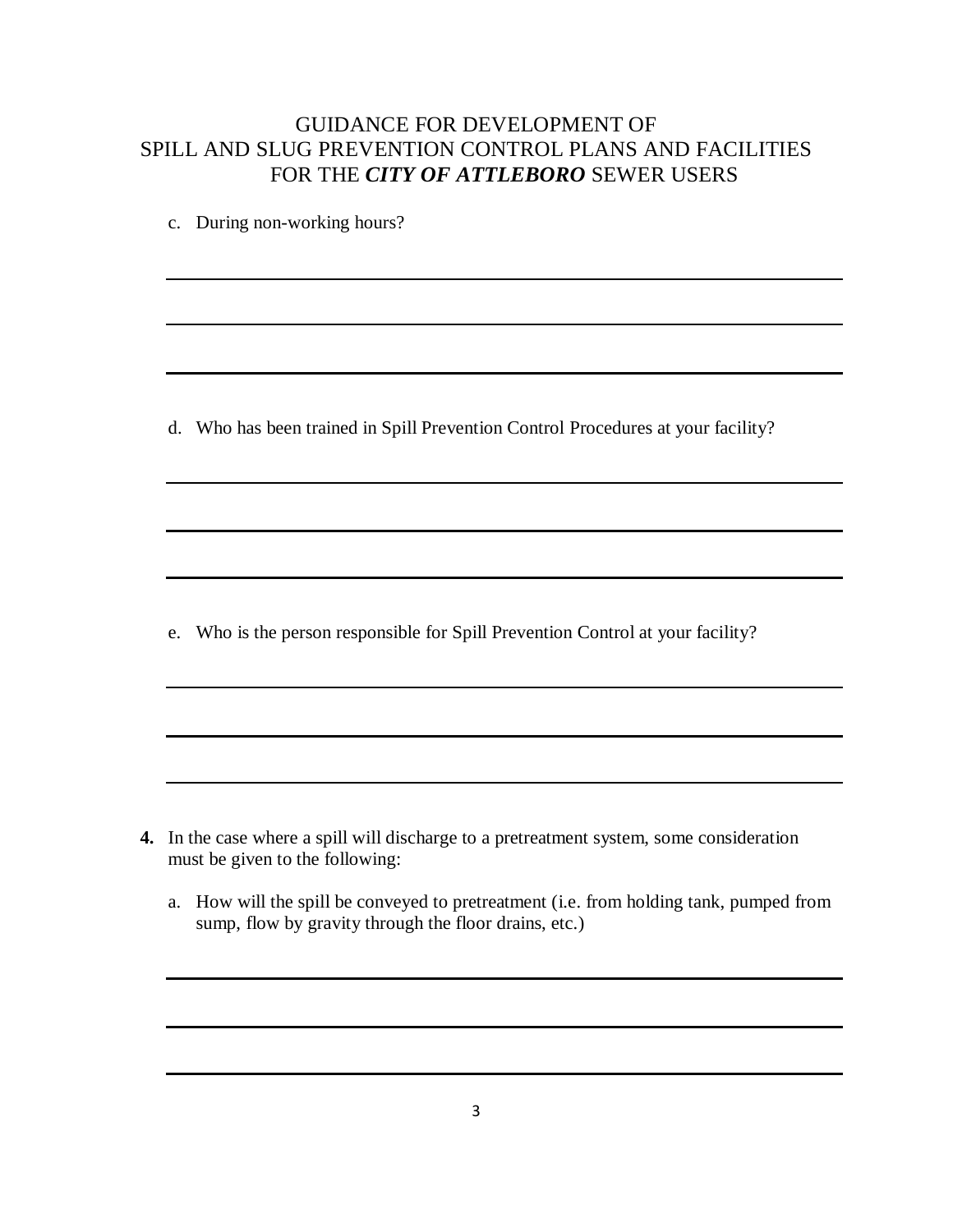c. During non-working hours?

d. Who has been trained in Spill Prevention Control Procedures at your facility?

e. Who is the person responsible for Spill Prevention Control at your facility?

- **4.** In the case where a spill will discharge to a pretreatment system, some consideration must be given to the following:
	- a. How will the spill be conveyed to pretreatment (i.e. from holding tank, pumped from sump, flow by gravity through the floor drains, etc.)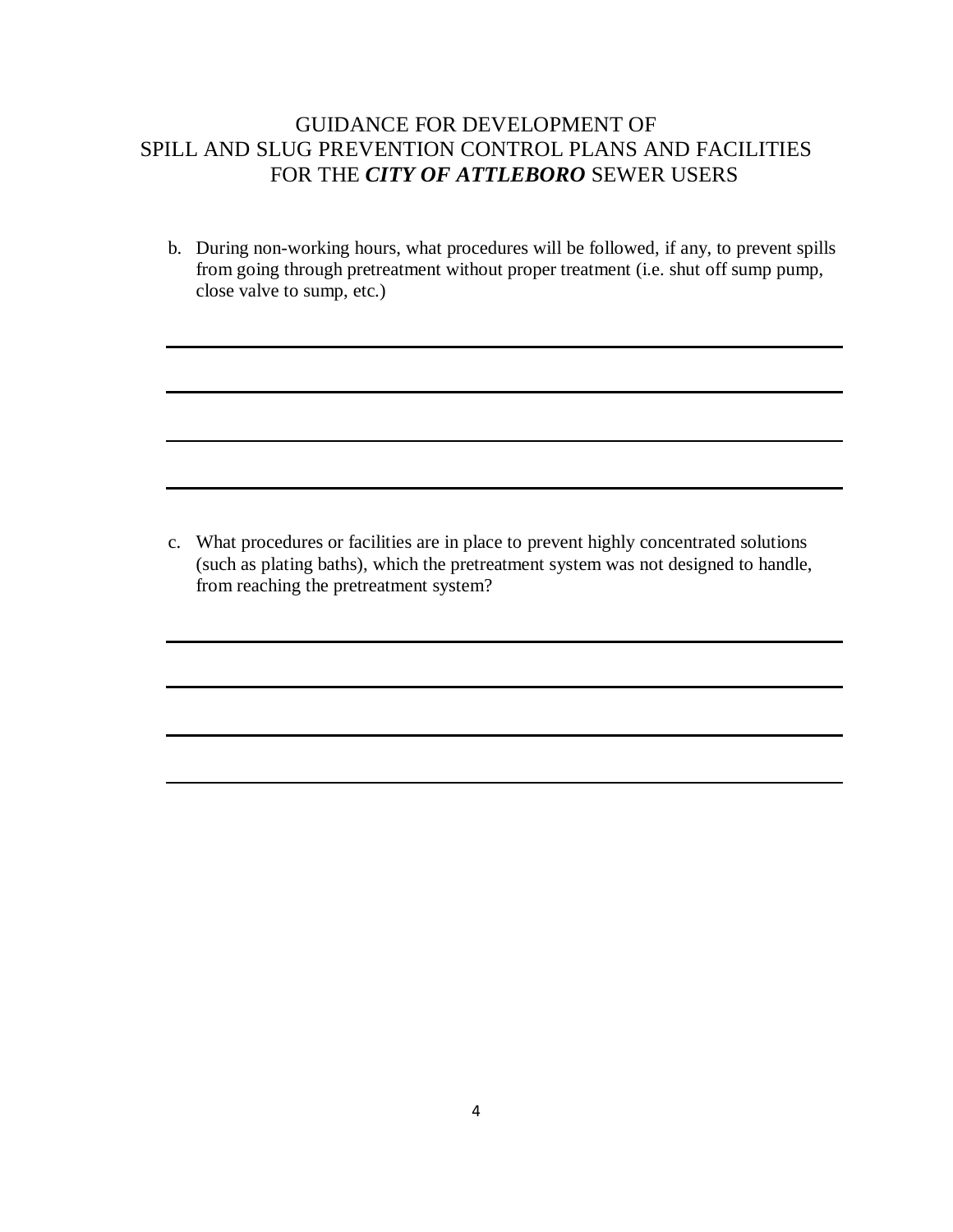b. During non-working hours, what procedures will be followed, if any, to prevent spills from going through pretreatment without proper treatment (i.e. shut off sump pump, close valve to sump, etc.)

c. What procedures or facilities are in place to prevent highly concentrated solutions (such as plating baths), which the pretreatment system was not designed to handle, from reaching the pretreatment system?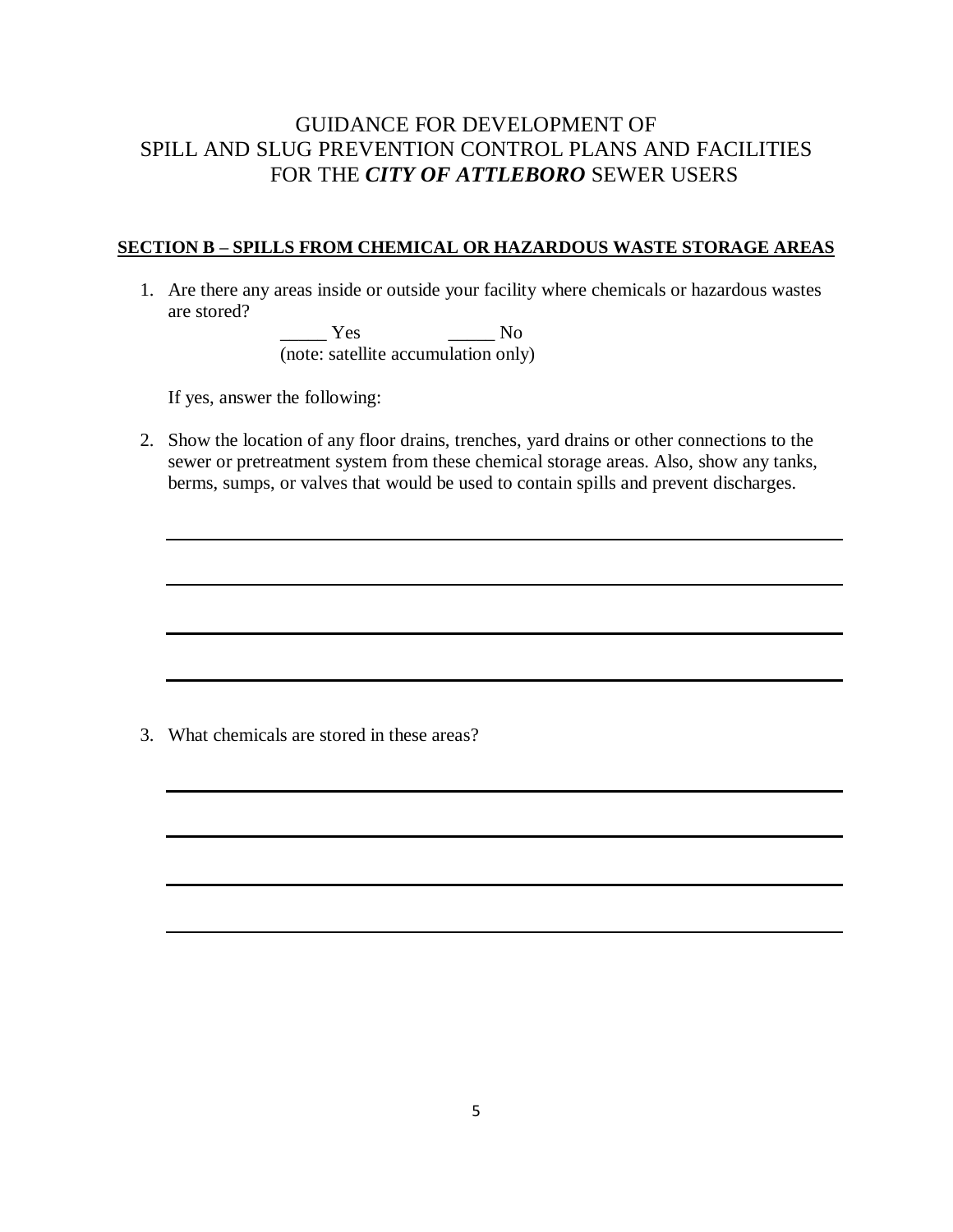#### **SECTION B – SPILLS FROM CHEMICAL OR HAZARDOUS WASTE STORAGE AREAS**

1. Are there any areas inside or outside your facility where chemicals or hazardous wastes are stored?

> \_\_\_\_\_ Yes \_\_\_\_\_ No (note: satellite accumulation only)

If yes, answer the following:

2. Show the location of any floor drains, trenches, yard drains or other connections to the sewer or pretreatment system from these chemical storage areas. Also, show any tanks, berms, sumps, or valves that would be used to contain spills and prevent discharges.

3. What chemicals are stored in these areas?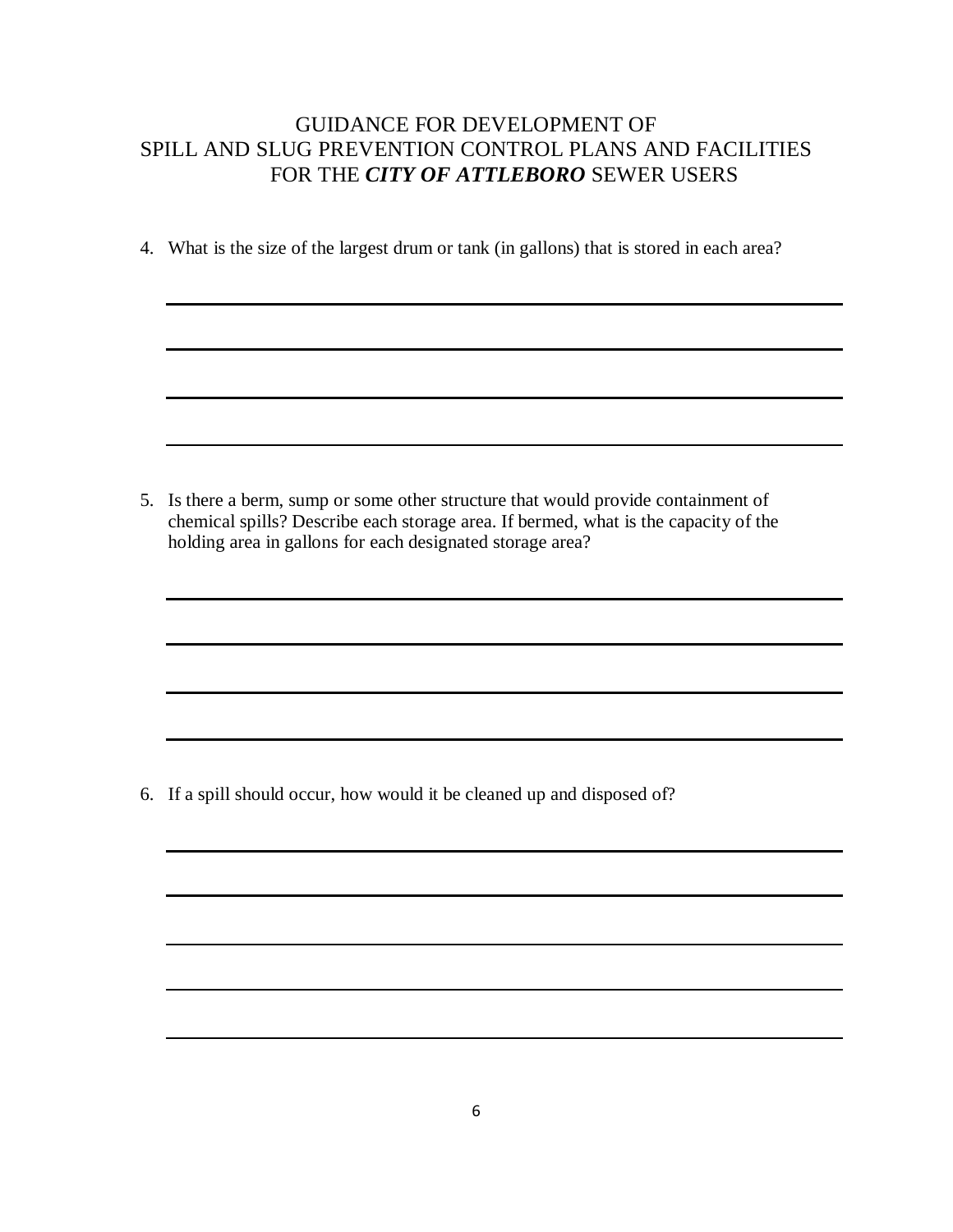4. What is the size of the largest drum or tank (in gallons) that is stored in each area?

5. Is there a berm, sump or some other structure that would provide containment of chemical spills? Describe each storage area. If bermed, what is the capacity of the holding area in gallons for each designated storage area?

6. If a spill should occur, how would it be cleaned up and disposed of?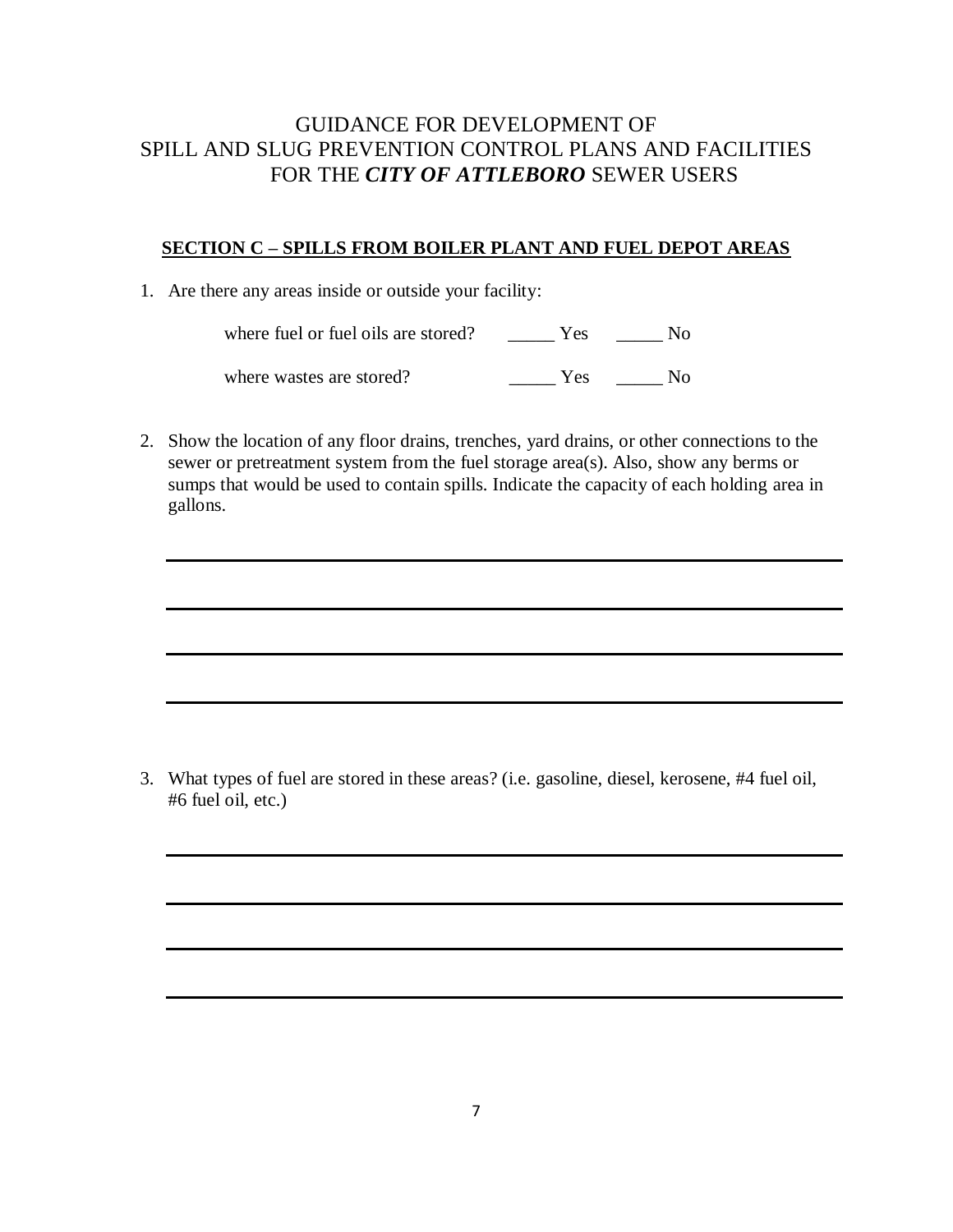#### **SECTION C – SPILLS FROM BOILER PLANT AND FUEL DEPOT AREAS**

1. Are there any areas inside or outside your facility:

where fuel or fuel oils are stored? \_\_\_\_\_\_ Yes \_\_\_\_\_\_ No

where wastes are stored? \_\_\_\_\_\_ Yes \_\_\_\_\_ No

2. Show the location of any floor drains, trenches, yard drains, or other connections to the sewer or pretreatment system from the fuel storage area(s). Also, show any berms or sumps that would be used to contain spills. Indicate the capacity of each holding area in gallons.

3. What types of fuel are stored in these areas? (i.e. gasoline, diesel, kerosene, #4 fuel oil, #6 fuel oil, etc.)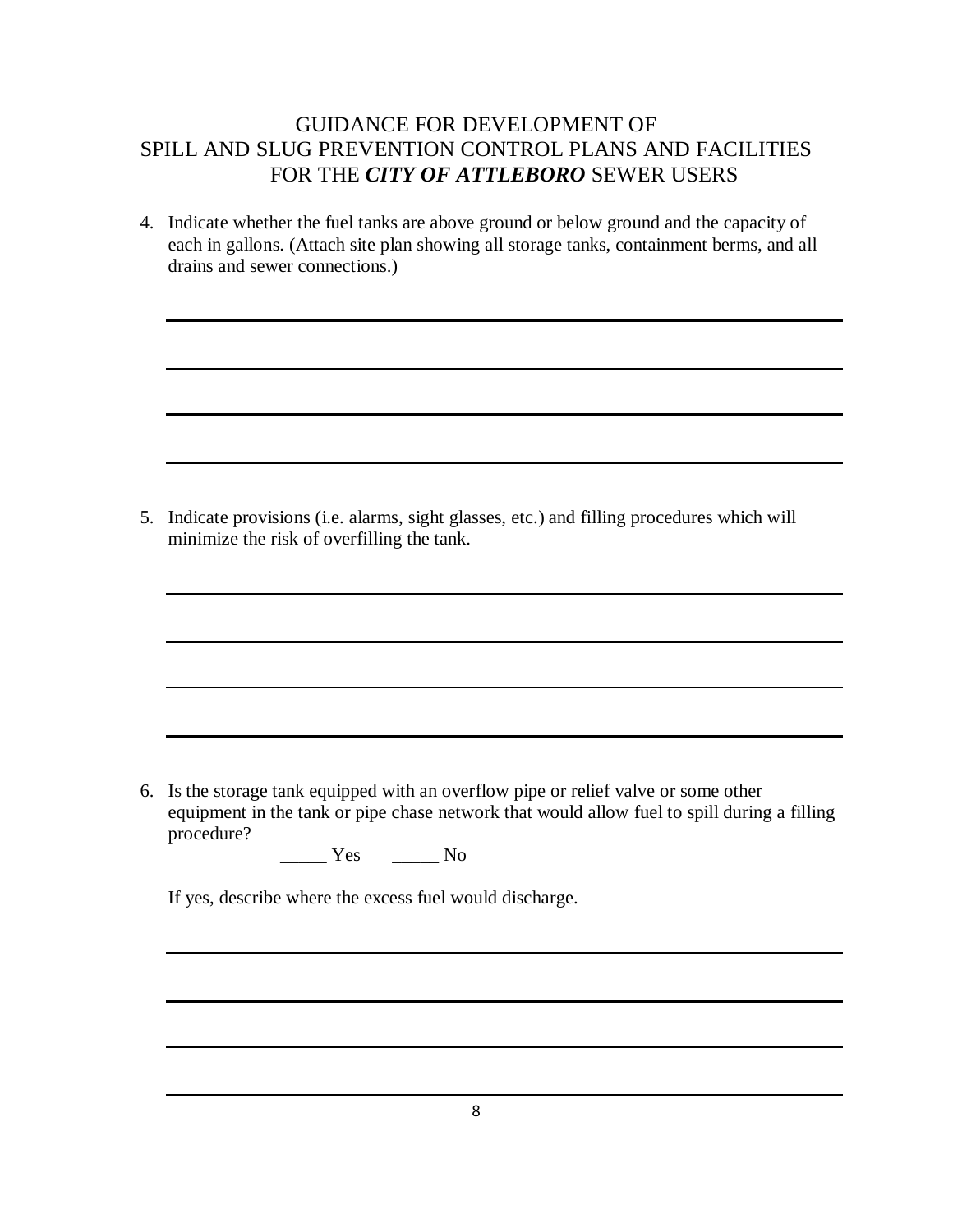4. Indicate whether the fuel tanks are above ground or below ground and the capacity of each in gallons. (Attach site plan showing all storage tanks, containment berms, and all drains and sewer connections.)

5. Indicate provisions (i.e. alarms, sight glasses, etc.) and filling procedures which will minimize the risk of overfilling the tank.

6. Is the storage tank equipped with an overflow pipe or relief valve or some other equipment in the tank or pipe chase network that would allow fuel to spill during a filling procedure?

\_\_\_\_\_ Yes \_\_\_\_\_ No

If yes, describe where the excess fuel would discharge.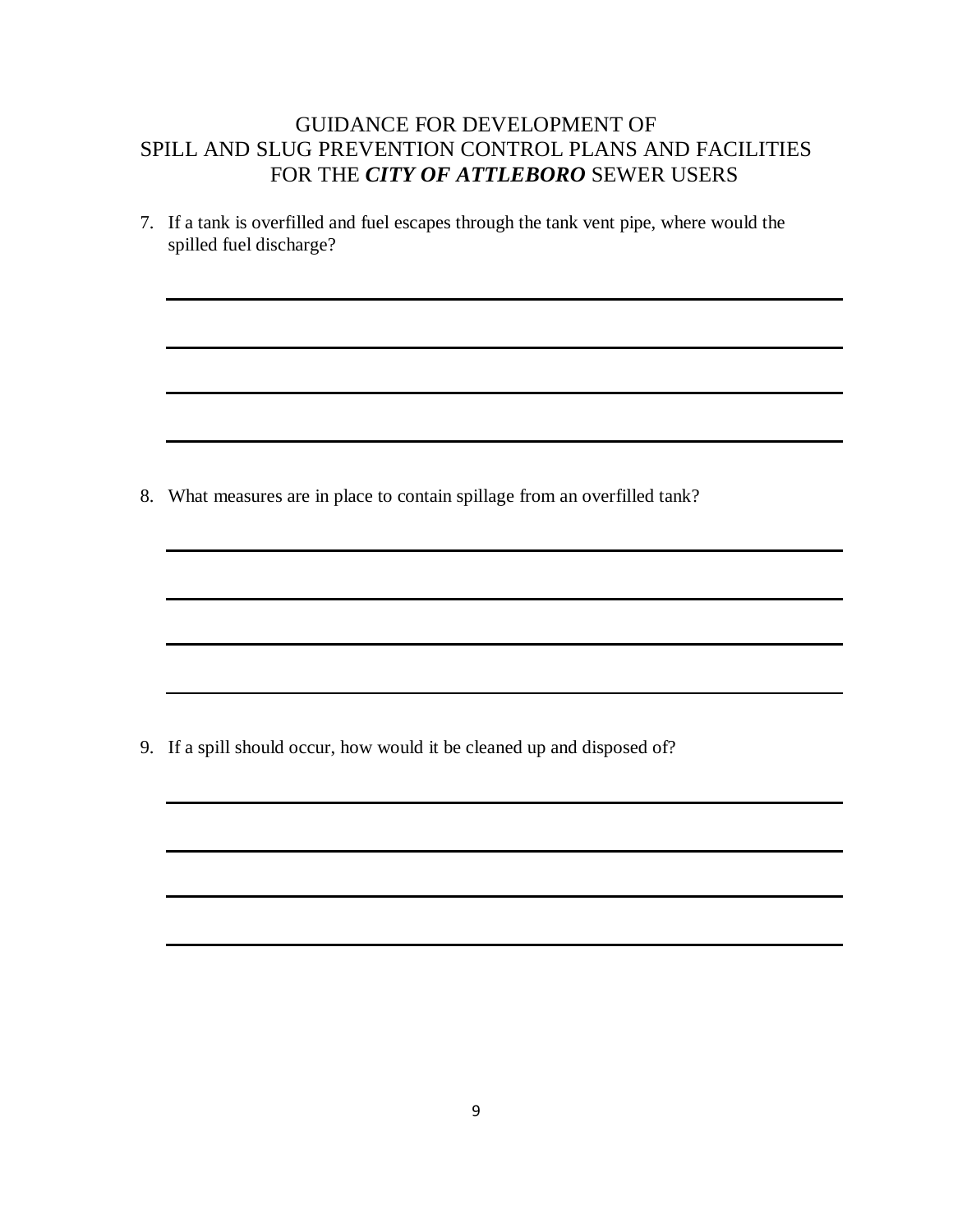7. If a tank is overfilled and fuel escapes through the tank vent pipe, where would the spilled fuel discharge?

8. What measures are in place to contain spillage from an overfilled tank?

9. If a spill should occur, how would it be cleaned up and disposed of?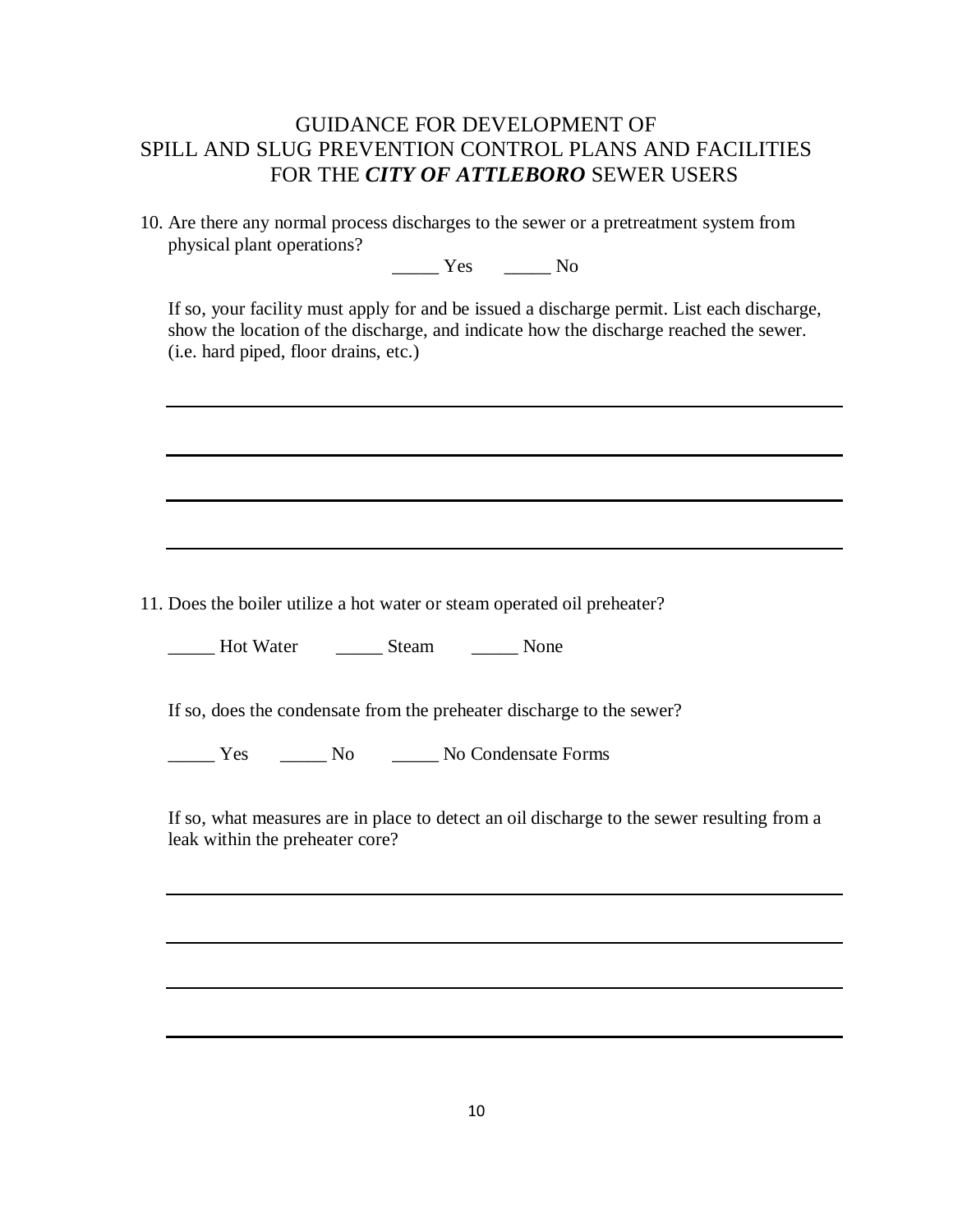10. Are there any normal process discharges to the sewer or a pretreatment system from physical plant operations?

Yes No

If so, your facility must apply for and be issued a discharge permit. List each discharge, show the location of the discharge, and indicate how the discharge reached the sewer. (i.e. hard piped, floor drains, etc.)

11. Does the boiler utilize a hot water or steam operated oil preheater?

\_\_\_\_\_ Hot Water \_\_\_\_\_ Steam \_\_\_\_\_ None

If so, does the condensate from the preheater discharge to the sewer?

Yes No No No Condensate Forms

If so, what measures are in place to detect an oil discharge to the sewer resulting from a leak within the preheater core?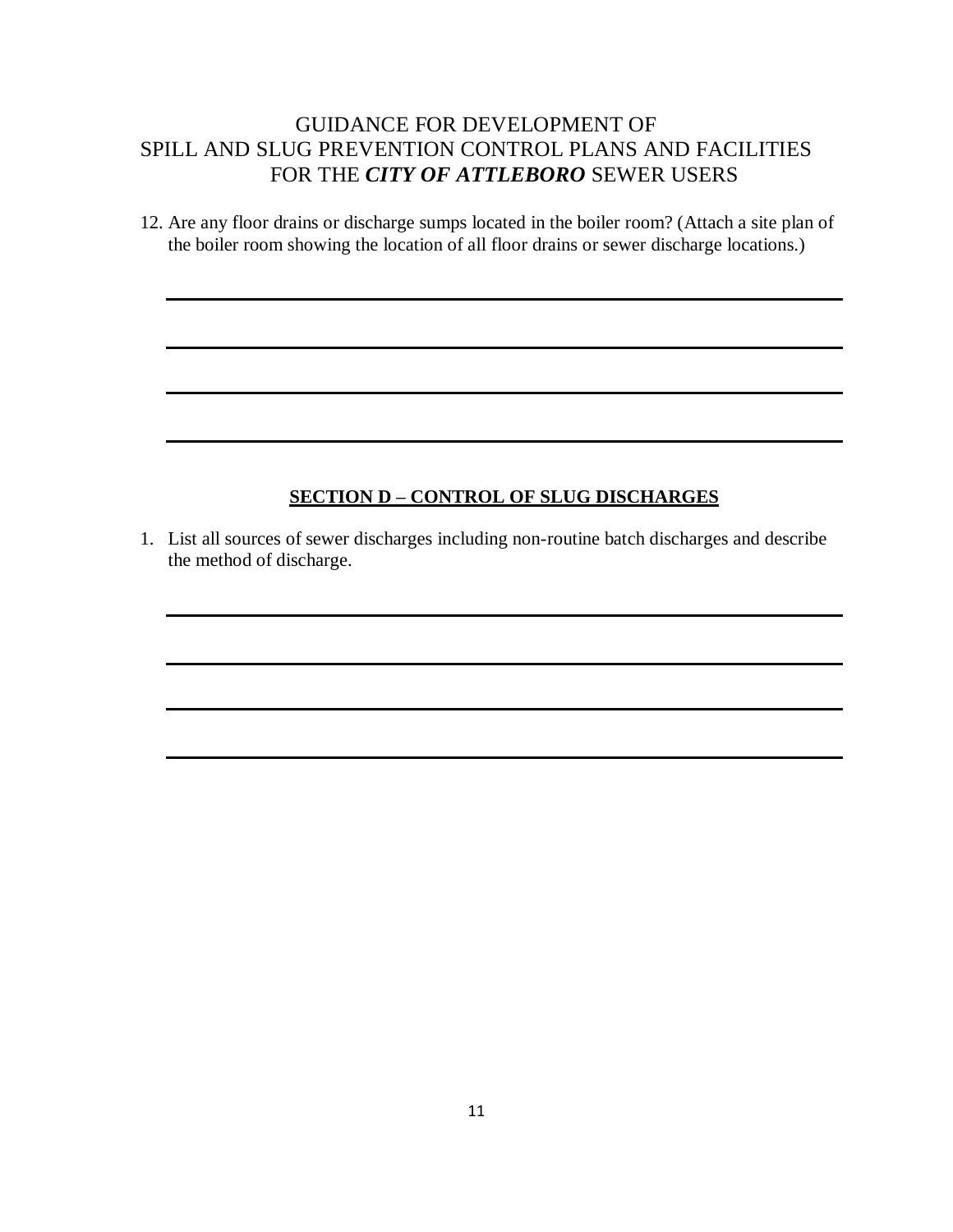12. Are any floor drains or discharge sumps located in the boiler room? (Attach a site plan of the boiler room showing the location of all floor drains or sewer discharge locations.)

#### **SECTION D – CONTROL OF SLUG DISCHARGES**

1. List all sources of sewer discharges including non-routine batch discharges and describe the method of discharge.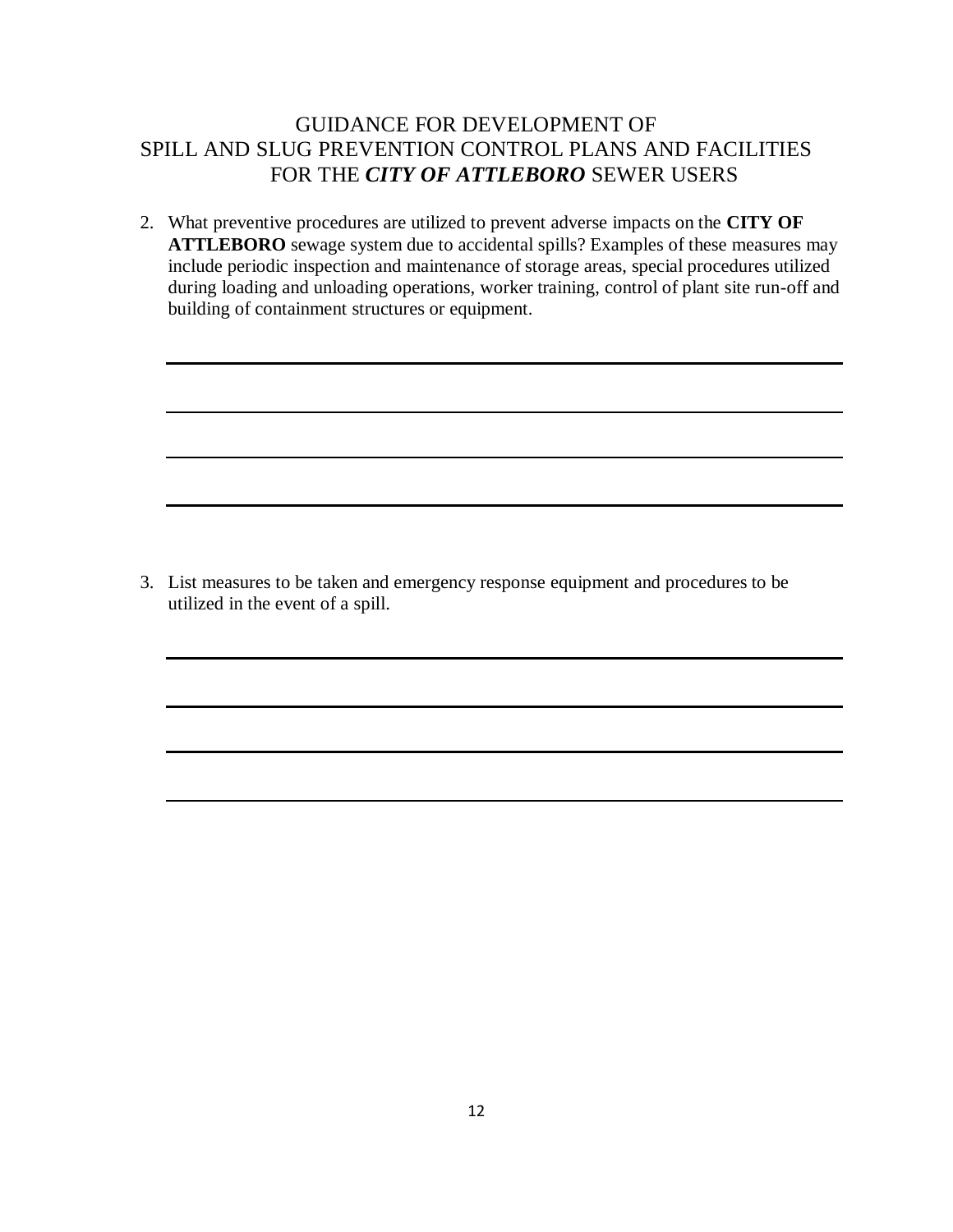2. What preventive procedures are utilized to prevent adverse impacts on the **CITY OF ATTLEBORO** sewage system due to accidental spills? Examples of these measures may include periodic inspection and maintenance of storage areas, special procedures utilized during loading and unloading operations, worker training, control of plant site run-off and building of containment structures or equipment.

3. List measures to be taken and emergency response equipment and procedures to be utilized in the event of a spill.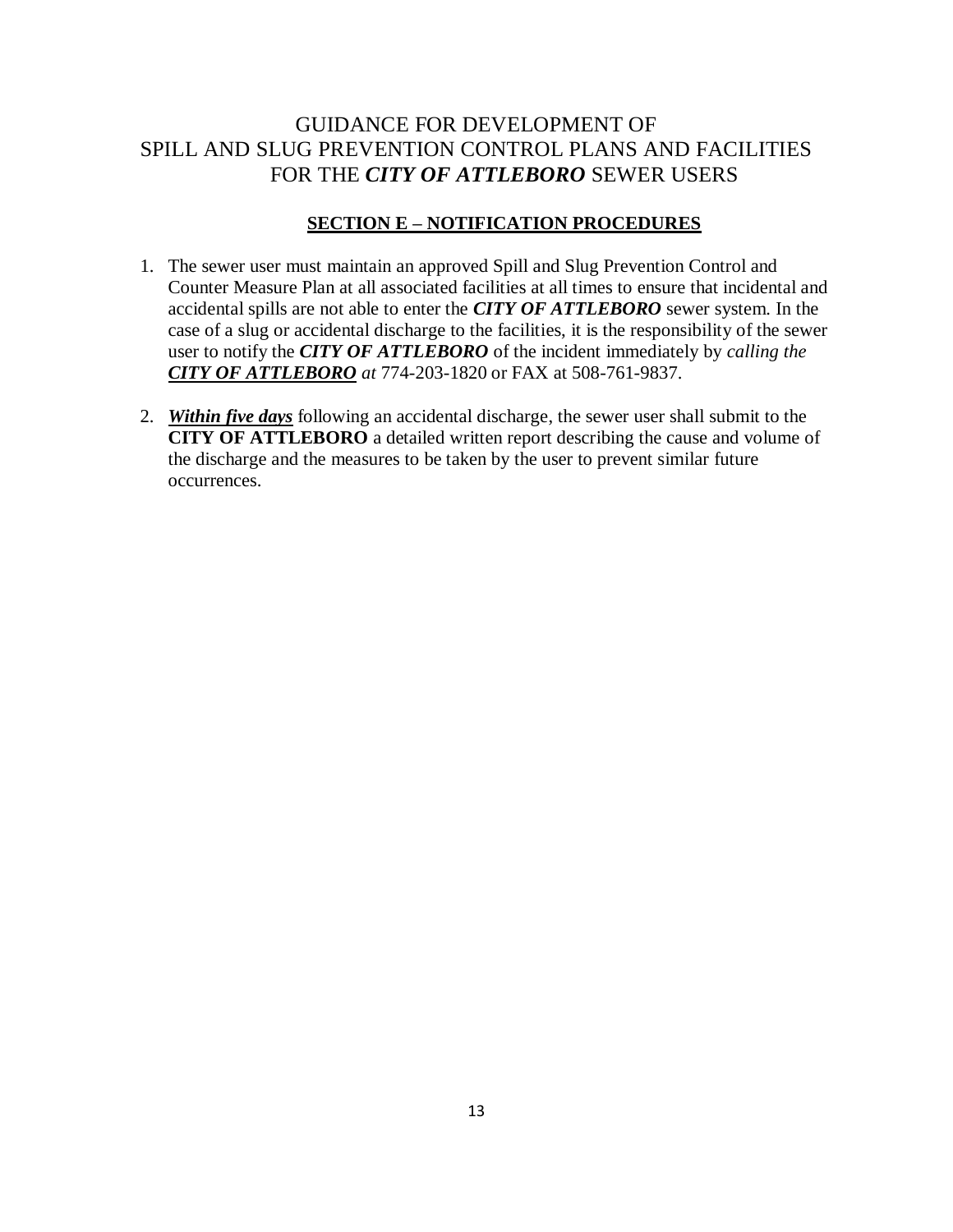#### **SECTION E – NOTIFICATION PROCEDURES**

- 1. The sewer user must maintain an approved Spill and Slug Prevention Control and Counter Measure Plan at all associated facilities at all times to ensure that incidental and accidental spills are not able to enter the *CITY OF ATTLEBORO* sewer system. In the case of a slug or accidental discharge to the facilities, it is the responsibility of the sewer user to notify the *CITY OF ATTLEBORO* of the incident immediately by *calling the CITY OF ATTLEBORO at* 774-203-1820 or FAX at 508-761-9837.
- 2. *Within five days* following an accidental discharge, the sewer user shall submit to the **CITY OF ATTLEBORO** a detailed written report describing the cause and volume of the discharge and the measures to be taken by the user to prevent similar future occurrences.